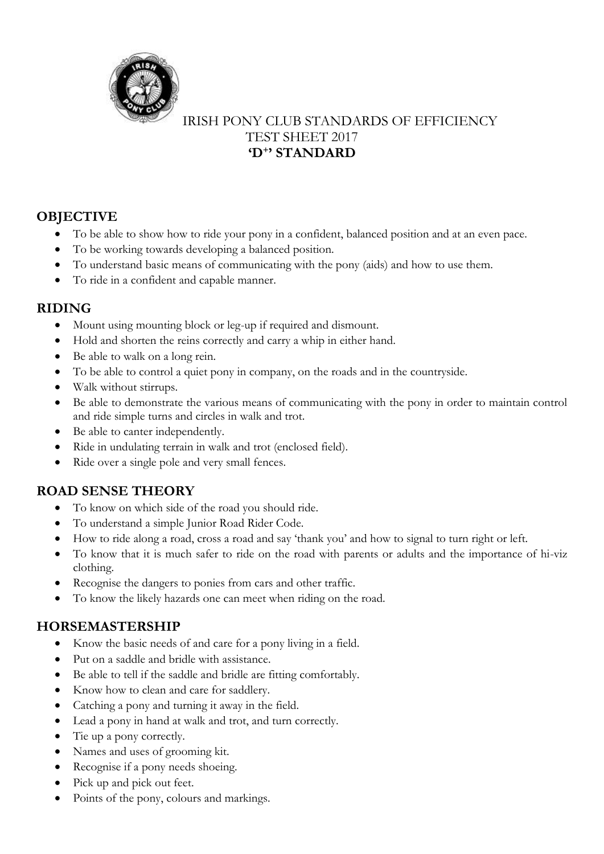

## IRISH PONY CLUB STANDARDS OF EFFICIENCY TEST SHEET 2017 **'D<sup>+</sup> ' STANDARD**

# **OBJECTIVE**

- To be able to show how to ride your pony in a confident, balanced position and at an even pace.
- To be working towards developing a balanced position.
- To understand basic means of communicating with the pony (aids) and how to use them.
- To ride in a confident and capable manner.

### **RIDING**

- Mount using mounting block or leg-up if required and dismount.
- Hold and shorten the reins correctly and carry a whip in either hand.
- Be able to walk on a long rein.
- To be able to control a quiet pony in company, on the roads and in the countryside.
- Walk without stirrups.
- Be able to demonstrate the various means of communicating with the pony in order to maintain control and ride simple turns and circles in walk and trot.
- Be able to canter independently.
- Ride in undulating terrain in walk and trot (enclosed field).
- Ride over a single pole and very small fences.

### **ROAD SENSE THEORY**

- To know on which side of the road you should ride.
- To understand a simple Junior Road Rider Code.
- How to ride along a road, cross a road and say 'thank you' and how to signal to turn right or left.
- To know that it is much safer to ride on the road with parents or adults and the importance of hi-viz clothing.
- Recognise the dangers to ponies from cars and other traffic.
- To know the likely hazards one can meet when riding on the road.

### **HORSEMASTERSHIP**

- Know the basic needs of and care for a pony living in a field.
- Put on a saddle and bridle with assistance.
- Be able to tell if the saddle and bridle are fitting comfortably.
- Know how to clean and care for saddlery.
- Catching a pony and turning it away in the field.
- Lead a pony in hand at walk and trot, and turn correctly.
- Tie up a pony correctly.
- Names and uses of grooming kit.
- Recognise if a pony needs shoeing.
- Pick up and pick out feet.
- Points of the pony, colours and markings.